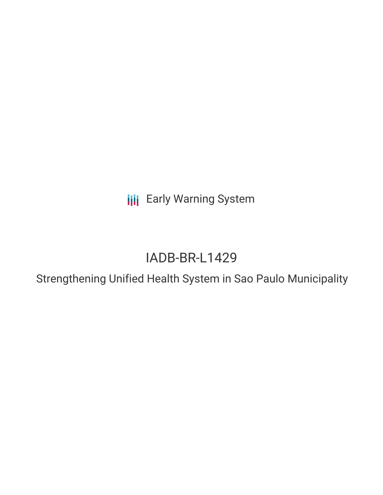**III** Early Warning System

# IADB-BR-L1429

Strengthening Unified Health System in Sao Paulo Municipality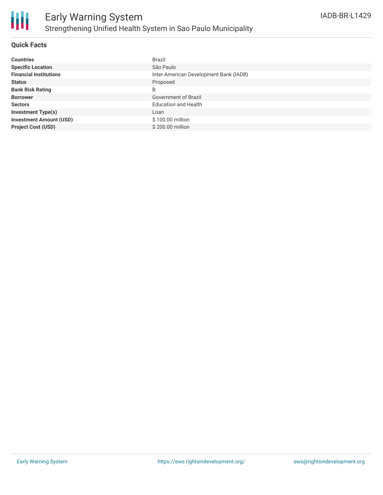## **Quick Facts**

| <b>Countries</b>               | <b>Brazil</b>                          |
|--------------------------------|----------------------------------------|
| <b>Specific Location</b>       | São Paulo                              |
| <b>Financial Institutions</b>  | Inter-American Development Bank (IADB) |
| <b>Status</b>                  | Proposed                               |
| <b>Bank Risk Rating</b>        | B                                      |
| <b>Borrower</b>                | Government of Brazil                   |
| <b>Sectors</b>                 | <b>Education and Health</b>            |
| <b>Investment Type(s)</b>      | Loan                                   |
| <b>Investment Amount (USD)</b> | \$100.00 million                       |
| <b>Project Cost (USD)</b>      | \$200.00 million                       |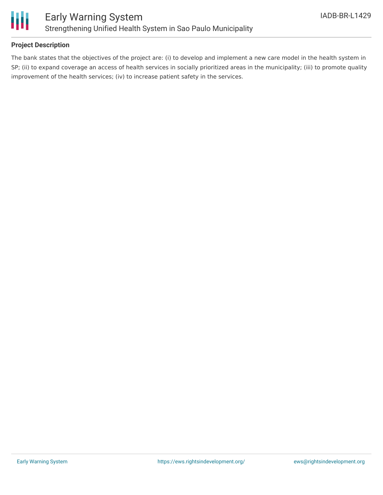

### **Project Description**

The bank states that the objectives of the project are: (i) to develop and implement a new care model in the health system in SP; (ii) to expand coverage an access of health services in socially prioritized areas in the municipality; (iii) to promote quality improvement of the health services; (iv) to increase patient safety in the services.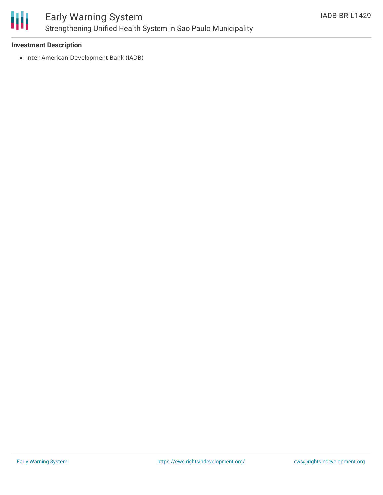

#### **Investment Description**

• Inter-American Development Bank (IADB)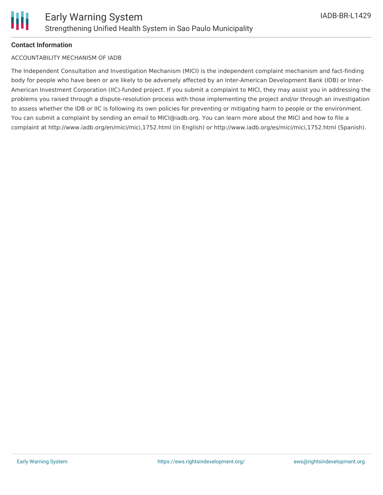

### **Contact Information**

#### ACCOUNTABILITY MECHANISM OF IADB

The Independent Consultation and Investigation Mechanism (MICI) is the independent complaint mechanism and fact-finding body for people who have been or are likely to be adversely affected by an Inter-American Development Bank (IDB) or Inter-American Investment Corporation (IIC)-funded project. If you submit a complaint to MICI, they may assist you in addressing the problems you raised through a dispute-resolution process with those implementing the project and/or through an investigation to assess whether the IDB or IIC is following its own policies for preventing or mitigating harm to people or the environment. You can submit a complaint by sending an email to MICI@iadb.org. You can learn more about the MICI and how to file a complaint at http://www.iadb.org/en/mici/mici,1752.html (in English) or http://www.iadb.org/es/mici/mici,1752.html (Spanish).